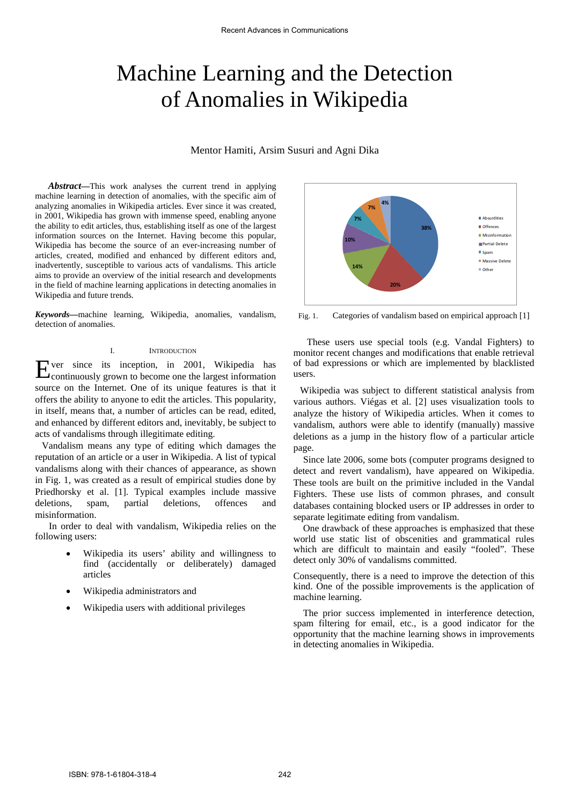# Machine Learning and the Detection of Anomalies in Wikipedia

# Mentor Hamiti, Arsim Susuri and Agni Dika

*Abstract***—**This work analyses the current trend in applying machine learning in detection of anomalies, with the specific aim of analyzing anomalies in Wikipedia articles. Ever since it was created, in 2001, Wikipedia has grown with immense speed, enabling anyone the ability to edit articles, thus, establishing itself as one of the largest information sources on the Internet. Having become this popular, Wikipedia has become the source of an ever-increasing number of articles, created, modified and enhanced by different editors and, inadvertently, susceptible to various acts of vandalisms. This article aims to provide an overview of the initial research and developments in the field of machine learning applications in detecting anomalies in Wikipedia and future trends.

*Keywords—*machine learning, Wikipedia, anomalies, vandalism, detection of anomalies.

#### I. INTRODUCTION

ver since its inception, in 2001, Wikipedia has Experience its inception, in 2001, Wikipedia has<br>Continuously grown to become one the largest information source on the Internet. One of its unique features is that it offers the ability to anyone to edit the articles. This popularity, in itself, means that, a number of articles can be read, edited, and enhanced by different editors and, inevitably, be subject to acts of vandalisms through illegitimate editing.

Vandalism means any type of editing which damages the reputation of an article or a user in Wikipedia. A list of typical vandalisms along with their chances of appearance, as shown in Fig. 1, was created as a result of empirical studies done by Priedhorsky et al. [1]. Typical examples include massive deletions, spam, partial deletions, offences and misinformation.

In order to deal with vandalism, Wikipedia relies on the following users:

- Wikipedia its users' ability and willingness to find (accidentally or deliberately) damaged articles
- Wikipedia administrators and
- Wikipedia users with additional privileges



Fig. 1. Categories of vandalism based on empirical approach [1]

These users use special tools (e.g. Vandal Fighters) to monitor recent changes and modifications that enable retrieval of bad expressions or which are implemented by blacklisted users.

Wikipedia was subject to different statistical analysis from various authors. Viégas et al. [2] uses visualization tools to analyze the history of Wikipedia articles. When it comes to vandalism, authors were able to identify (manually) massive deletions as a jump in the history flow of a particular article page.

Since late 2006, some bots (computer programs designed to detect and revert vandalism), have appeared on Wikipedia. These tools are built on the primitive included in the Vandal Fighters. These use lists of common phrases, and consult databases containing blocked users or IP addresses in order to separate legitimate editing from vandalism.

One drawback of these approaches is emphasized that these world use static list of obscenities and grammatical rules which are difficult to maintain and easily "fooled". These detect only 30% of vandalisms committed.

Consequently, there is a need to improve the detection of this kind. One of the possible improvements is the application of machine learning.

The prior success implemented in interference detection, spam filtering for email, etc., is a good indicator for the opportunity that the machine learning shows in improvements in detecting anomalies in Wikipedia.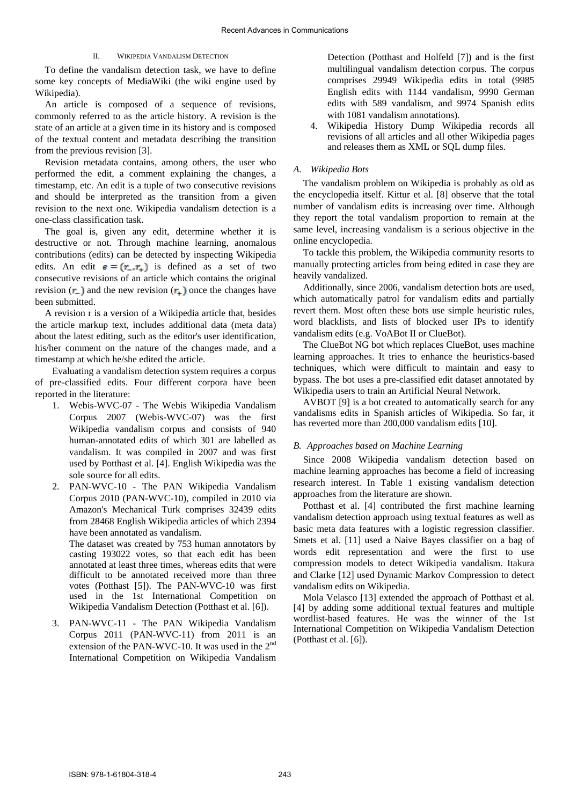## II. WIKIPEDIA VANDALISM DETECTION

To define the vandalism detection task, we have to define some key concepts of MediaWiki (the wiki engine used by Wikipedia).

An article is composed of a sequence of revisions, commonly referred to as the article history. A revision is the state of an article at a given time in its history and is composed of the textual content and metadata describing the transition from the previous revision [3].

Revision metadata contains, among others, the user who performed the edit, a comment explaining the changes, a timestamp, etc. An edit is a tuple of two consecutive revisions and should be interpreted as the transition from a given revision to the next one. Wikipedia vandalism detection is a one-class classification task.

The goal is, given any edit, determine whether it is destructive or not. Through machine learning, anomalous contributions (edits) can be detected by inspecting Wikipedia edits. An edit  $\mathbf{s} = (\mathbf{r}_\mathbf{r}, \mathbf{r}_\mathbf{r})$  is defined as a set of two consecutive revisions of an article which contains the original revision  $(\mathbf{r}_-)$  and the new revision  $(\mathbf{r}_+)$  once the changes have been submitted.

A revision r is a version of a Wikipedia article that, besides the article markup text, includes additional data (meta data) about the latest editing, such as the editor's user identification, his/her comment on the nature of the changes made, and a timestamp at which he/she edited the article.

Evaluating a vandalism detection system requires a corpus of pre-classified edits. Four different corpora have been reported in the literature:

- 1. Webis-WVC-07 The Webis Wikipedia Vandalism Corpus 2007 (Webis-WVC-07) was the first Wikipedia vandalism corpus and consists of 940 human-annotated edits of which 301 are labelled as vandalism. It was compiled in 2007 and was first used by Potthast et al. [4]. English Wikipedia was the sole source for all edits.
- 2. PAN-WVC-10 The PAN Wikipedia Vandalism Corpus 2010 (PAN-WVC-10), compiled in 2010 via Amazon's Mechanical Turk comprises 32439 edits from 28468 English Wikipedia articles of which 2394 have been annotated as vandalism.

The dataset was created by 753 human annotators by casting 193022 votes, so that each edit has been annotated at least three times, whereas edits that were difficult to be annotated received more than three votes (Potthast [5]). The PAN-WVC-10 was first used in the 1st International Competition on Wikipedia Vandalism Detection (Potthast et al. [6]).

3. PAN-WVC-11 - The PAN Wikipedia Vandalism Corpus 2011 (PAN-WVC-11) from 2011 is an extension of the PAN-WVC-10. It was used in the  $2<sup>nd</sup>$ International Competition on Wikipedia Vandalism

Detection (Potthast and Holfeld [7]) and is the first multilingual vandalism detection corpus. The corpus comprises 29949 Wikipedia edits in total (9985 English edits with 1144 vandalism, 9990 German edits with 589 vandalism, and 9974 Spanish edits with 1081 vandalism annotations).

4. Wikipedia History Dump Wikipedia records all revisions of all articles and all other Wikipedia pages and releases them as XML or SQL dump files.

# *A. Wikipedia Bots*

The vandalism problem on Wikipedia is probably as old as the encyclopedia itself. Kittur et al. [8] observe that the total number of vandalism edits is increasing over time. Although they report the total vandalism proportion to remain at the same level, increasing vandalism is a serious objective in the online encyclopedia.

To tackle this problem, the Wikipedia community resorts to manually protecting articles from being edited in case they are heavily vandalized.

Additionally, since 2006, vandalism detection bots are used, which automatically patrol for vandalism edits and partially revert them. Most often these bots use simple heuristic rules, word blacklists, and lists of blocked user IPs to identify vandalism edits (e.g. VoABot II or ClueBot).

The ClueBot NG bot which replaces ClueBot, uses machine learning approaches. It tries to enhance the heuristics-based techniques, which were difficult to maintain and easy to bypass. The bot uses a pre-classified edit dataset annotated by Wikipedia users to train an Artificial Neural Network.

AVBOT [9] is a bot created to automatically search for any vandalisms edits in Spanish articles of Wikipedia. So far, it has reverted more than 200,000 vandalism edits [10].

## *B. Approaches based on Machine Learning*

Since 2008 Wikipedia vandalism detection based on machine learning approaches has become a field of increasing research interest. In Table 1 existing vandalism detection approaches from the literature are shown.

 Potthast et al. [4] contributed the first machine learning vandalism detection approach using textual features as well as basic meta data features with a logistic regression classifier. Smets et al. [11] used a Naive Bayes classifier on a bag of words edit representation and were the first to use compression models to detect Wikipedia vandalism. Itakura and Clarke [12] used Dynamic Markov Compression to detect vandalism edits on Wikipedia.

Mola Velasco [13] extended the approach of Potthast et al. [4] by adding some additional textual features and multiple wordlist-based features. He was the winner of the 1st International Competition on Wikipedia Vandalism Detection (Potthast et al. [6]).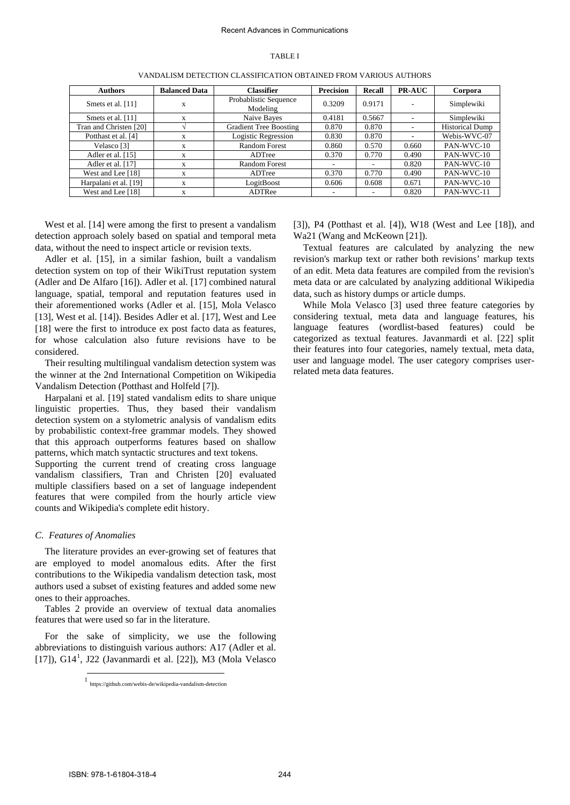### TABLE I

VANDALISM DETECTION CLASSIFICATION OBTAINED FROM VARIOUS AUTHORS

| <b>Authors</b>         | <b>Balanced Data</b> | <b>Classifier</b>                 | <b>Precision</b> | <b>Recall</b> | <b>PR-AUC</b> | Corpora                |  |
|------------------------|----------------------|-----------------------------------|------------------|---------------|---------------|------------------------|--|
| Smets et al. [11]      | X                    | Probablistic Sequence<br>Modeling | 0.3209           | 0.9171        |               | Simplewiki             |  |
| Smets et al. [11]      | X                    | Naive Bayes                       | 0.4181           | 0.5667        | -             | Simplewiki             |  |
| Tran and Christen [20] |                      | <b>Gradient Tree Boosting</b>     | 0.870            | 0.870         | -             | <b>Historical Dump</b> |  |
| Potthast et al. [4]    | X                    | Logistic Regression               | 0.830            | 0.870         | ۰.            | Webis-WVC-07           |  |
| Velasco <sup>[3]</sup> | X                    | <b>Random Forest</b>              | 0.860            | 0.570         | 0.660         | PAN-WVC-10             |  |
| Adler et al. [15]      | X                    | ADTree                            | 0.370            | 0.770         | 0.490         | PAN-WVC-10             |  |
| Adler et al. [17]      | X                    | <b>Random Forest</b>              |                  | -             | 0.820         | PAN-WVC-10             |  |
| West and Lee [18]      | X                    | ADTree                            | 0.370            | 0.770         | 0.490         | PAN-WVC-10             |  |
| Harpalani et al. [19]  | X                    | LogitBoost                        | 0.606            | 0.608         | 0.671         | PAN-WVC-10             |  |
| West and Lee [18]      | X                    | ADTRee                            |                  | ۰             | 0.820         | PAN-WVC-11             |  |

West et al. [14] were among the first to present a vandalism detection approach solely based on spatial and temporal meta data, without the need to inspect article or revision texts.

Adler et al. [15], in a similar fashion, built a vandalism detection system on top of their WikiTrust reputation system (Adler and De Alfaro [16]). Adler et al. [17] combined natural language, spatial, temporal and reputation features used in their aforementioned works (Adler et al. [15], Mola Velasco [13], West et al. [14]). Besides Adler et al. [17], West and Lee [18] were the first to introduce ex post facto data as features, for whose calculation also future revisions have to be considered.

Their resulting multilingual vandalism detection system was the winner at the 2nd International Competition on Wikipedia Vandalism Detection (Potthast and Holfeld [7]).

Harpalani et al. [19] stated vandalism edits to share unique linguistic properties. Thus, they based their vandalism detection system on a stylometric analysis of vandalism edits by probabilistic context-free grammar models. They showed that this approach outperforms features based on shallow patterns, which match syntactic structures and text tokens.

Supporting the current trend of creating cross language vandalism classifiers, Tran and Christen [20] evaluated multiple classifiers based on a set of language independent features that were compiled from the hourly article view counts and Wikipedia's complete edit history.

## *C. Features of Anomalies*

-

The literature provides an ever-growing set of features that are employed to model anomalous edits. After the first contributions to the Wikipedia vandalism detection task, most authors used a subset of existing features and added some new ones to their approaches.

Tables 2 provide an overview of textual data anomalies features that were used so far in the literature.

<span id="page-2-0"></span>For the sake of simplicity, we use the following abbreviations to distinguish various authors: A17 (Adler et al. [[1](#page-2-0)7]), G14<sup>1</sup>, J22 (Javanmardi et al. [22]), M3 (Mola Velasco [3]), P4 (Potthast et al. [4]), W18 (West and Lee [18]), and Wa21 (Wang and McKeown [21]).

Textual features are calculated by analyzing the new revision's markup text or rather both revisions' markup texts of an edit. Meta data features are compiled from the revision's meta data or are calculated by analyzing additional Wikipedia data, such as history dumps or article dumps.

While Mola Velasco [3] used three feature categories by considering textual, meta data and language features, his language features (wordlist-based features) could be categorized as textual features. Javanmardi et al. [22] split their features into four categories, namely textual, meta data, user and language model. The user category comprises userrelated meta data features.

<sup>1</sup> https://github.com/webis-de/wikipedia-vandalism-detection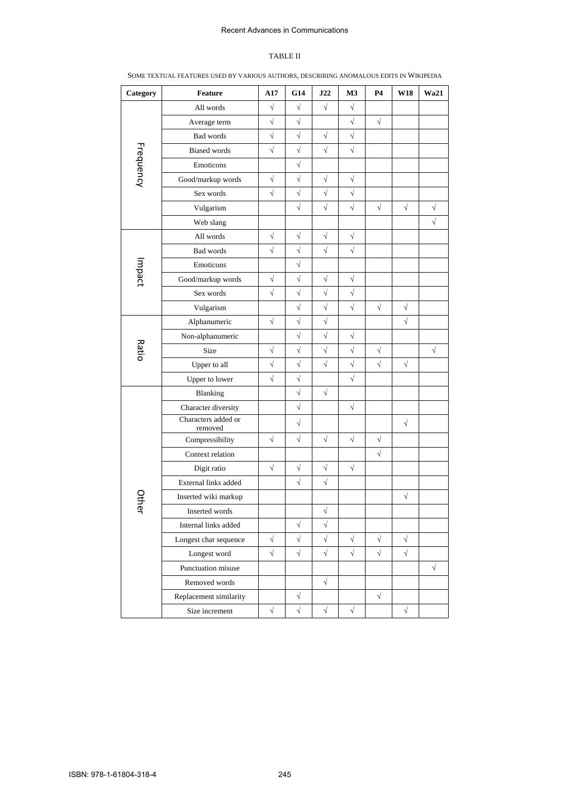## Recent Advances in Communications

## TABLE II

| Category  | <b>Feature</b>                 | A17                  | G14                  | J22                  | M3                   | <b>P4</b>  | <b>W18</b> | <b>Wa21</b> |
|-----------|--------------------------------|----------------------|----------------------|----------------------|----------------------|------------|------------|-------------|
| Frequency | All words                      | $\sqrt{}$            | $\sqrt{}$            | $\sqrt{ }$           | $\sqrt{}$            |            |            |             |
|           | Average term                   | $\sqrt{}$            | $\sqrt{}$            |                      | $\sqrt{}$            | $\sqrt{}$  |            |             |
|           | Bad words                      | $\sqrt{}$            | $\sqrt{}$            | $\sqrt{}$            | $\sqrt{}$            |            |            |             |
|           | <b>Biased</b> words            | $\sqrt{}$            | $\sqrt{}$            | $\sqrt{}$            | $\sqrt{}$            |            |            |             |
|           | Emoticons                      |                      | $\sqrt{\phantom{a}}$ |                      |                      |            |            |             |
|           | Good/markup words              | $\sqrt{}$            | $\sqrt{}$            | $\sqrt{}$            | $\sqrt{\phantom{a}}$ |            |            |             |
|           | Sex words                      | $\sqrt{ }$           | $\sqrt{\phantom{a}}$ | $\sqrt{2}$           | $\sqrt{\phantom{a}}$ |            |            |             |
|           | Vulgarism                      |                      | $\sqrt{}$            | $\sqrt{}$            | $\sqrt{}$            | $\sqrt{ }$ | $\sqrt{}$  | $\sqrt{}$   |
|           | Web slang                      |                      |                      |                      |                      |            |            | $\sqrt{}$   |
|           | All words                      | $\sqrt{}$            | $\sqrt{}$            | $\sqrt{}$            | $\sqrt{}$            |            |            |             |
|           | Bad words                      | $\sqrt{\phantom{a}}$ | $\sqrt{}$            | $\sqrt{}$            | $\sqrt{}$            |            |            |             |
| Impact    | Emoticons                      |                      | $\sqrt{}$            |                      |                      |            |            |             |
|           | Good/markup words              | $\sqrt{}$            | $\sqrt{}$            | $\sqrt{}$            | $\sqrt{}$            |            |            |             |
|           | Sex words                      | $\sqrt{}$            | $\sqrt{}$            | $\sqrt{}$            | $\sqrt{}$            |            |            |             |
|           | Vulgarism                      |                      | $\sqrt{}$            | $\sqrt{}$            | $\sqrt{}$            | $\sqrt{}$  | $\sqrt{}$  |             |
| Ratio     | Alphanumeric                   | $\sqrt{}$            | $\sqrt{}$            | $\sqrt{\phantom{a}}$ |                      |            | $\sqrt{}$  |             |
|           | Non-alphanumeric               |                      | $\sqrt{ }$           | $\sqrt{ }$           | $\sqrt{ }$           |            |            |             |
|           | Size                           | $\sqrt{}$            | $\sqrt{}$            | $\sqrt{\phantom{a}}$ | $\sqrt{}$            | $\sqrt{}$  |            | $\sqrt{}$   |
|           | Upper to all                   | $\sqrt{\phantom{a}}$ | $\sqrt{ }$           | $\sqrt{\phantom{a}}$ | $\sqrt{\phantom{a}}$ | $\sqrt{}$  | $\sqrt{ }$ |             |
|           | Upper to lower                 | $\sqrt{}$            | $\sqrt{}$            |                      | $\sqrt{ }$           |            |            |             |
| Other     | Blanking                       |                      | $\sqrt{ }$           | $\sqrt{ }$           |                      |            |            |             |
|           | Character diversity            |                      | $\sqrt{}$            |                      | $\sqrt{}$            |            |            |             |
|           | Characters added or<br>removed |                      | $\sqrt{}$            |                      |                      |            | $\sqrt{ }$ |             |
|           | Compressibility                | $\sqrt{}$            | $\sqrt{}$            | $\sqrt{}$            | $\sqrt{ }$           | $\sqrt{}$  |            |             |
|           | Context relation               |                      |                      |                      |                      | $\sqrt{}$  |            |             |
|           | Digit ratio                    | $\sqrt{}$            | $\sqrt{}$            | $\sqrt{}$            | $\sqrt{}$            |            |            |             |
|           | External links added           |                      | $\sqrt{ }$           | $\sqrt{}$            |                      |            |            |             |
|           | Inserted wiki markup           |                      |                      |                      |                      |            | $\sqrt{ }$ |             |
|           | Inserted words                 |                      |                      | $\sqrt{\phantom{a}}$ |                      |            |            |             |
|           | Internal links added           |                      | $\sqrt{}$            | $\sqrt{}$            |                      |            |            |             |
|           | Longest char sequence          | $\sqrt{}$            | $\sqrt{}$            | $\sqrt{}$            | $\sqrt{ }$           | $\sqrt{}$  | $\sqrt{}$  |             |
|           | Longest word                   | $\sqrt{\phantom{a}}$ | $\sqrt{\phantom{a}}$ | $\sqrt{ }$           | $\sqrt{}$            | $\sqrt{ }$ | $\sqrt{}$  |             |
|           | Punctuation misuse             |                      |                      |                      |                      |            |            | $\sqrt{}$   |
|           | Removed words                  |                      |                      | $\sqrt{}$            |                      |            |            |             |
|           | Replacement similarity         |                      | $\sqrt{}$            |                      |                      | $\sqrt{}$  |            |             |
|           | Size increment                 | $\sqrt{\phantom{a}}$ | $\sqrt{}$            | $\sqrt{}$            | $\sqrt{ }$           |            | $\sqrt{ }$ |             |

### SOME TEXTUAL FEATURES USED BY VARIOUS AUTHORS, DESCRIBING ANOMALOUS EDITS IN WIKIPEDIA